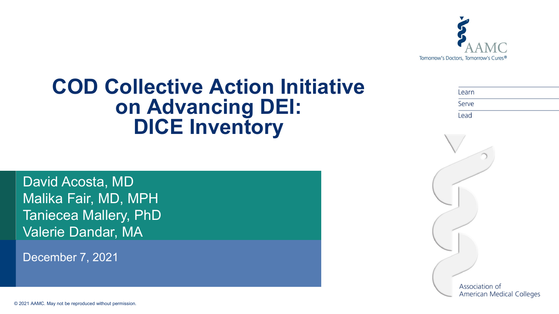

#### **COD Collective Action Initiative on Advancing DEI: DICE Inventory**

| Learn |  |  |
|-------|--|--|
| Serve |  |  |
| Lead  |  |  |

David Acosta, MD Malika Fair, MD, MPH Taniecea Mallery, PhD Valerie Dandar, MA

December 7, 2021

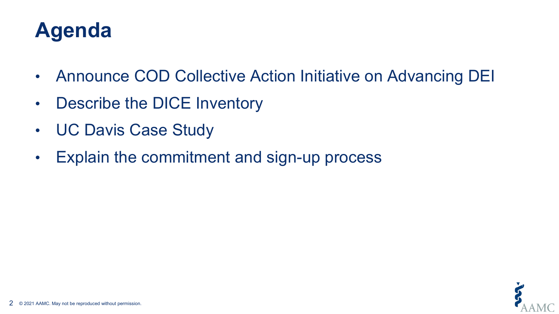# **Agenda**

- Announce COD Collective Action Initiative on Advancing DEI
- Describe the DICE Inventory
- UC Davis Case Study
- Explain the commitment and sign-up process

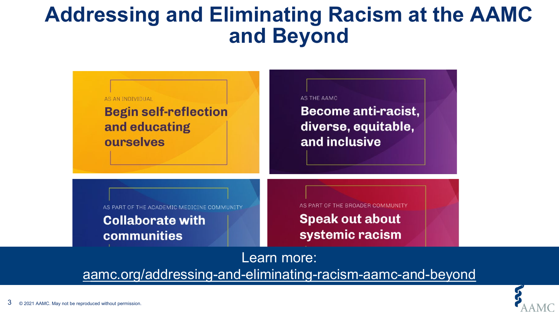#### **Addressing and Eliminating Racism at the AAMC and Beyond**

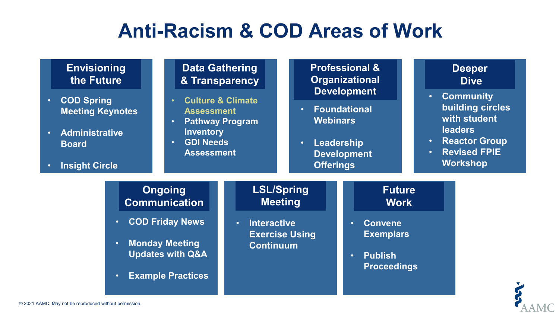#### **Anti-Racism & COD Areas of Work**

| <b>Envisioning</b><br>the Future<br><b>COD Spring</b><br>$\bullet$<br><b>Meeting Keynotes</b><br><b>Administrative</b><br>$\bullet$<br><b>Board</b><br><b>Insight Circle</b><br>$\bullet$ | $\bullet$<br>$\bullet$<br><b>Inventory</b><br>$\bullet$                                                                                              | <b>Professional &amp;</b><br><b>Data Gathering</b><br><b>Organizational</b><br>& Transparency<br><b>Development</b><br><b>Culture &amp; Climate</b><br><b>Foundational</b><br>$\bullet$ .<br><b>Assessment</b><br><b>Webinars</b><br><b>Pathway Program</b><br><b>GDI Needs</b><br>Leadership<br>$\bullet$<br><b>Assessment</b><br><b>Development</b><br><b>Offerings</b> |                                                              |                                                                                                                                      | $\bullet$<br>$\bullet$<br>$\bullet$ | <b>Deeper</b><br><b>Dive</b><br><b>Community</b><br>building circles<br>with student<br><b>leaders</b><br><b>Reactor Group</b><br><b>Revised FPIE</b><br><b>Workshop</b> |
|-------------------------------------------------------------------------------------------------------------------------------------------------------------------------------------------|------------------------------------------------------------------------------------------------------------------------------------------------------|---------------------------------------------------------------------------------------------------------------------------------------------------------------------------------------------------------------------------------------------------------------------------------------------------------------------------------------------------------------------------|--------------------------------------------------------------|--------------------------------------------------------------------------------------------------------------------------------------|-------------------------------------|--------------------------------------------------------------------------------------------------------------------------------------------------------------------------|
| $\bullet$<br>$\bullet$<br>$\bullet$                                                                                                                                                       | <b>Ongoing</b><br><b>Communication</b><br><b>COD Friday News</b><br><b>Monday Meeting</b><br><b>Updates with Q&amp;A</b><br><b>Example Practices</b> | <b>Interactive</b><br>$\bullet$<br><b>Continuum</b>                                                                                                                                                                                                                                                                                                                       | <b>LSL/Spring</b><br><b>Meeting</b><br><b>Exercise Using</b> | <b>Future</b><br><b>Work</b><br><b>Convene</b><br>$\bullet$<br><b>Exemplars</b><br><b>Publish</b><br>$\bullet$<br><b>Proceedings</b> |                                     |                                                                                                                                                                          |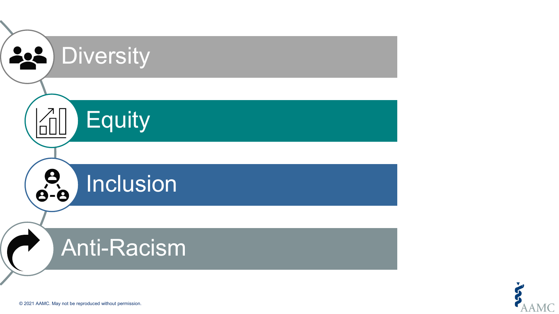

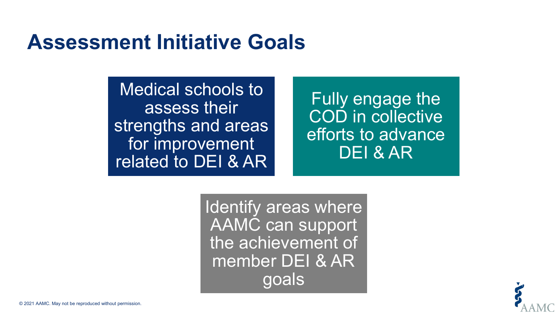#### **Assessment Initiative Goals**

Medical schools to assess their strengths and areas for improvement related to DEI & AR

Fully engage the COD in collective efforts to advance DEI & AR

Identify areas where AAMC can support the achievement of member DEI & AR goals

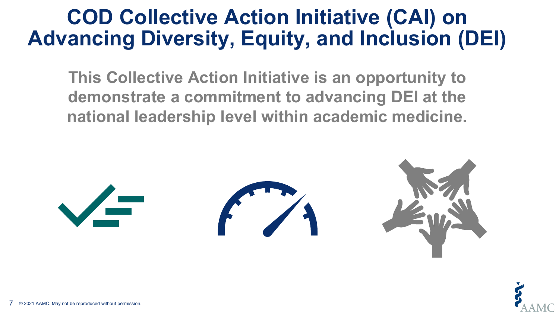#### **COD Collective Action Initiative (CAI) on Advancing Diversity, Equity, and Inclusion (DEI)**

**This Collective Action Initiative is an opportunity to demonstrate a commitment to advancing DEI at the national leadership level within academic medicine.**



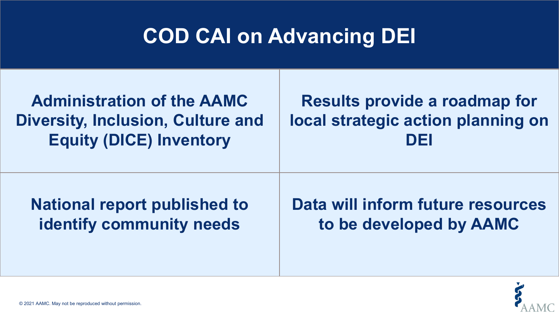# **COD CAI on Advancing DEI**

| <b>Administration of the AAMC</b>        | <b>Results provide a roadmap for</b> |
|------------------------------------------|--------------------------------------|
| <b>Diversity, Inclusion, Culture and</b> | local strategic action planning on   |
| <b>Equity (DICE) Inventory</b>           | DEI                                  |
| <b>National report published to</b>      | Data will inform future resources    |
| <b>identify community needs</b>          | to be developed by AAMC              |

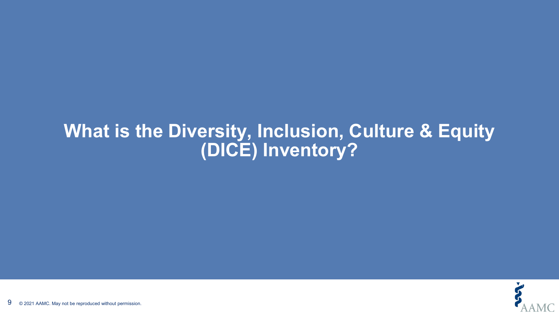#### **What is the Diversity, Inclusion, Culture & Equity (DICE) Inventory?**

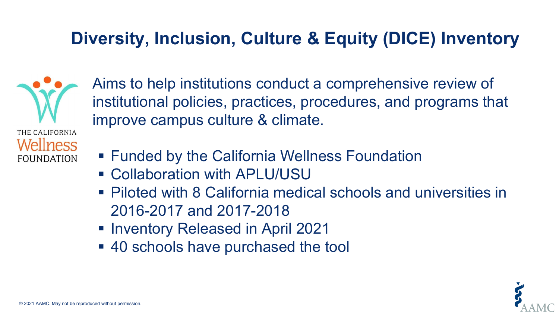#### **Diversity, Inclusion, Culture & Equity (DICE) Inventory**

THE CALIFORNIA Wellness **FOUNDATION** 

Aims to help institutions conduct a comprehensive review of institutional policies, practices, procedures, and programs that improve campus culture & climate.

- Funded by the California Wellness Foundation
- Collaboration with APLU/USU
- Piloted with 8 California medical schools and universities in 2016-2017 and 2017-2018
- **Inventory Released in April 2021**
- 40 schools have purchased the tool

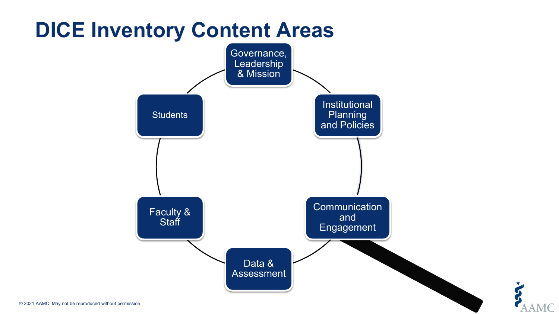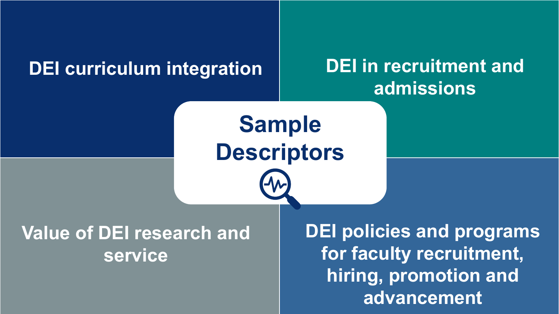#### **DEI curriculum integration DEI in recruitment and**

# **admissions**

**Sample Descriptors**

#### **Value of DEI research and service**

**DEI policies and programs for faculty recruitment, hiring, promotion and advancement**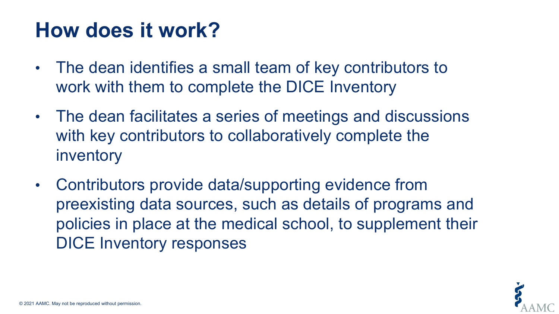## **How does it work?**

- The dean identifies a small team of key contributors to work with them to complete the DICE Inventory
- The dean facilitates a series of meetings and discussions with key contributors to collaboratively complete the inventory
- Contributors provide data/supporting evidence from preexisting data sources, such as details of programs and policies in place at the medical school, to supplement their DICE Inventory responses

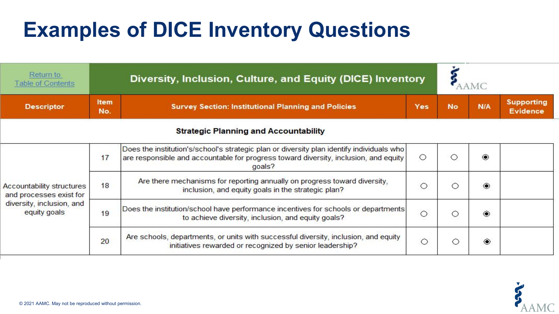# **Examples of DICE Inventory Questions**

| Return to<br><b>Table of Contents</b>                                                             |                                                                                                                                                | Diversity, Inclusion, Culture, and Equity (DICE) Inventory                                                                                                                                  |         |           |     |                                      |
|---------------------------------------------------------------------------------------------------|------------------------------------------------------------------------------------------------------------------------------------------------|---------------------------------------------------------------------------------------------------------------------------------------------------------------------------------------------|---------|-----------|-----|--------------------------------------|
| <b>Descriptor</b>                                                                                 | <b>Item</b><br>No.                                                                                                                             | <b>Survey Section: Institutional Planning and Policies</b>                                                                                                                                  | Yes     | <b>No</b> | N/A | <b>Supporting</b><br><b>Evidence</b> |
|                                                                                                   |                                                                                                                                                | <b>Strategic Planning and Accountability</b>                                                                                                                                                |         |           |     |                                      |
|                                                                                                   | 17                                                                                                                                             | Does the institution's/school's strategic plan or diversity plan identify individuals who<br>are responsible and accountable for progress toward diversity, inclusion, and equity<br>goals? | $\circ$ |           | ۵   |                                      |
| Accountability structures<br>and processes exist for<br>diversity, inclusion, and<br>equity goals | 18                                                                                                                                             | Are there mechanisms for reporting annually on progress toward diversity,<br>inclusion, and equity goals in the strategic plan?                                                             | $\circ$ | ( )       | ◉   |                                      |
|                                                                                                   | Does the institution/school have performance incentives for schools or departments<br>19<br>to achieve diversity, inclusion, and equity goals? |                                                                                                                                                                                             | $\circ$ | ( )       | ۱   |                                      |
|                                                                                                   | 20                                                                                                                                             | Are schools, departments, or units with successful diversity, inclusion, and equity<br>initiatives rewarded or recognized by senior leadership?                                             | $\circ$ |           | ۱   |                                      |

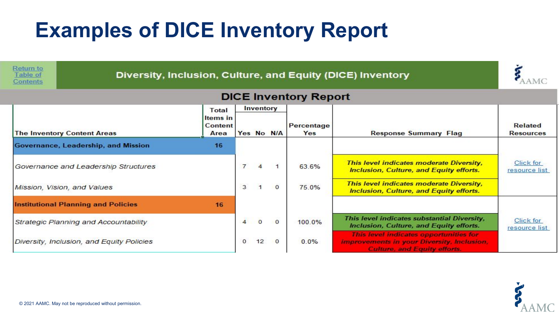# **Examples of DICE Inventory Report**

| Return to<br>Table of<br><b>Contents</b>   | Diversity, Inclusion, Culture, and Equity (DICE) Inventory |                |                |            |                   |                                                                                                                                    |                             |  |
|--------------------------------------------|------------------------------------------------------------|----------------|----------------|------------|-------------------|------------------------------------------------------------------------------------------------------------------------------------|-----------------------------|--|
| <b>DICE Inventory Report</b>               |                                                            |                |                |            |                   |                                                                                                                                    |                             |  |
|                                            | Total                                                      |                | Inventory      |            |                   |                                                                                                                                    |                             |  |
| <b>The Inventory Content Areas</b>         | <b>Items</b> in<br><b>Content</b><br>Area                  |                |                | Yes No N/A | Percentage<br>Yes | <b>Response Summary Flag</b>                                                                                                       | Related<br><b>Resources</b> |  |
| Governance, Leadership, and Mission        | 16                                                         |                |                |            |                   |                                                                                                                                    |                             |  |
| Governance and Leadership Structures       |                                                            | $\overline{7}$ | $\overline{4}$ |            | 63.6%             | This level indicates moderate Diversity,<br>Inclusion, Culture, and Equity efforts.                                                | Click for<br>resource list  |  |
| Mission, Vision, and Values                |                                                            | 3              |                | $\Omega$   | 75.0%             | This level indicates moderate Diversity,<br>Inclusion, Culture, and Equity efforts.                                                |                             |  |
| <b>Institutional Planning and Policies</b> | 16                                                         |                |                |            |                   |                                                                                                                                    |                             |  |
| Strategic Planning and Accountability      |                                                            | $\overline{4}$ | $\Omega$       | $\Omega$   | 100.0%            | This level indicates substantial Diversity,<br>Inclusion, Culture, and Equity efforts.                                             | Click for<br>resource list  |  |
| Diversity, Inclusion, and Equity Policies  |                                                            | $\Omega$       | 12             | $\circ$    | 0.0%              | This level indicates opportunities for<br><b>improvements in your Diversity, Inclusion,</b><br><b>Culture, and Equity efforts.</b> |                             |  |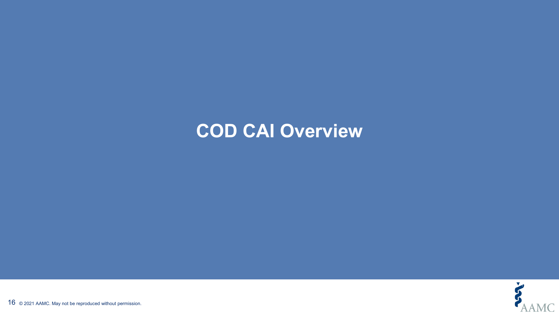#### **COD CAI Overview**

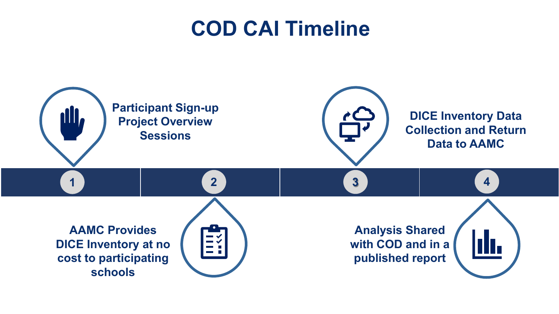### **COD CAI Timeline**

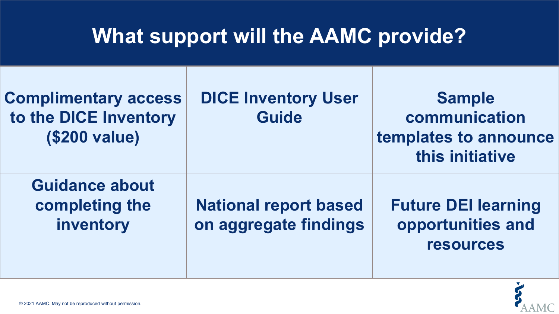### **What support will the AAMC provide?**

| <b>Complimentary access</b><br>to the DICE Inventory<br><b>(\$200 value)</b> | <b>DICE Inventory User</b><br><b>Guide</b>            | <b>Sample</b><br>communication<br>templates to announce<br>this initiative |
|------------------------------------------------------------------------------|-------------------------------------------------------|----------------------------------------------------------------------------|
| <b>Guidance about</b><br>completing the<br>inventory                         | <b>National report based</b><br>on aggregate findings | <b>Future DEI learning</b><br>opportunities and<br><b>resources</b>        |

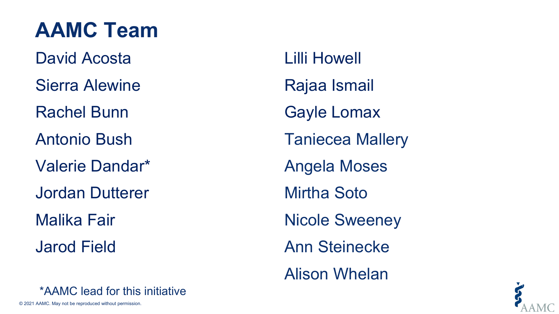# **AAMC Team**

David Acosta Sierra Alewine Rachel Bunn Antonio Bush Valerie Dandar\* Jordan Dutterer Malika Fair Jarod Field

Lilli Howell Rajaa Ismail Gayle Lomax Taniecea Mallery Angela Moses Mirtha Soto Nicole Sweeney Ann Steinecke Alison Whelan



\*AAMC lead for this initiative

© 2021 AAMC. May not be reproduced without permission.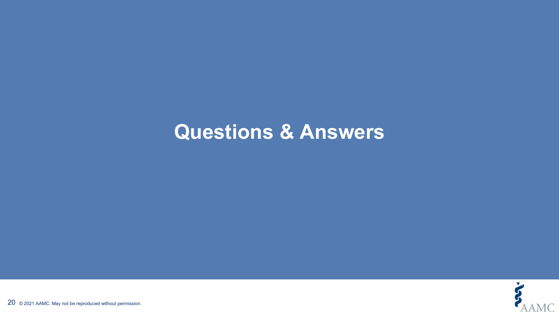#### **Questions & Answers**

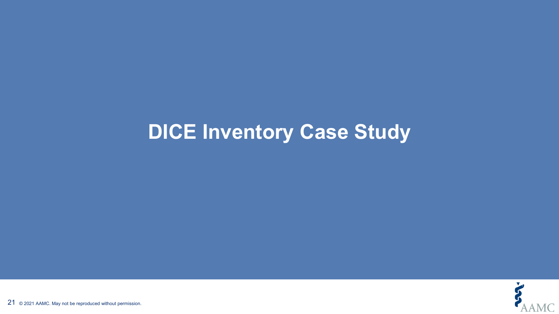#### **DICE Inventory Case Study**

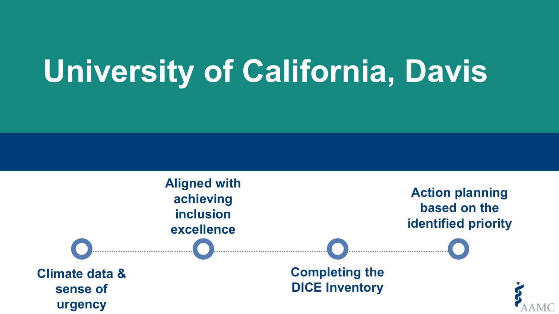# **University of California, Davis**

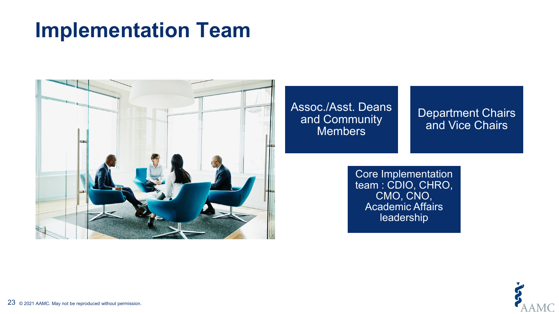#### **Implementation Team**



Assoc./Asst. Deans and Community **Members** 

Department Chairs and Vice Chairs

Core Implementation team : CDIO, CHRO, CMO, CNO, Academic Affairs leadership



 $23\;$  © 2021 AAMC. May not be reproduced without permission.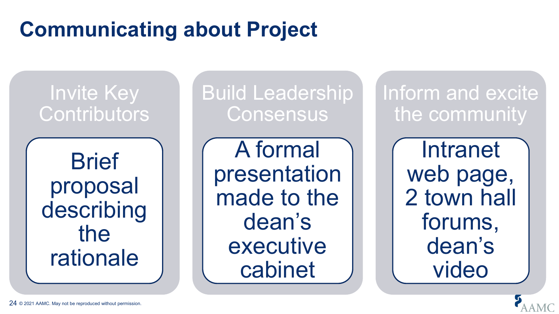# **Communicating about Project**

Invite Key **Contributors** 

**Brief** proposal describing the rationale

Build Leadership **Consensus** 

A formal presentation made to the dean's executive cabinet

Inform and excite the community

> Intranet web page, 2 town hall forums, dean's video

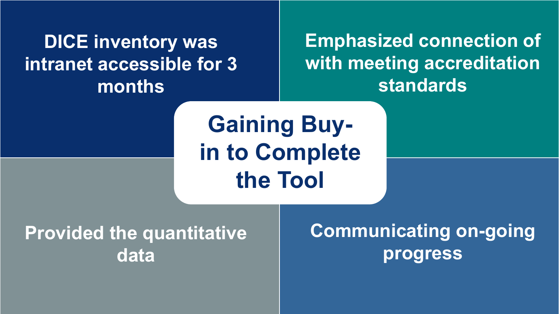**DICE inventory was intranet accessible for 3 months**

#### **Emphasized connection of with meeting accreditation standards**

**Gaining Buyin to Complete the Tool**

**Provided the quantitative data** 

**Communicating on-going progress**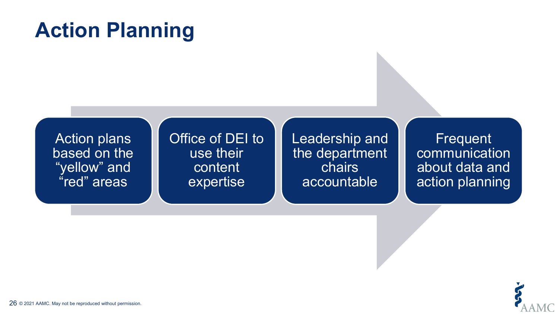# **Action Planning**

Office of DEI to

use their

content

expertise

Action plans based on the "yellow" and "red" areas

Leadership and the department chairs accountable

**Frequent** communication about data and action planning

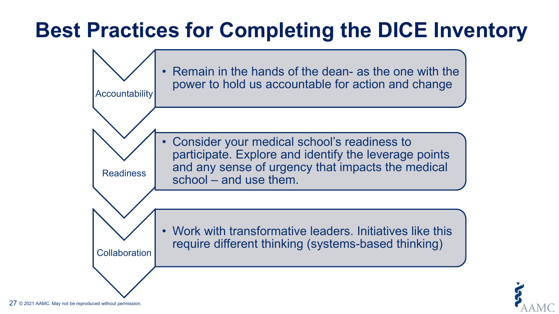# **Best Practices for Completing the DICE Inventory**



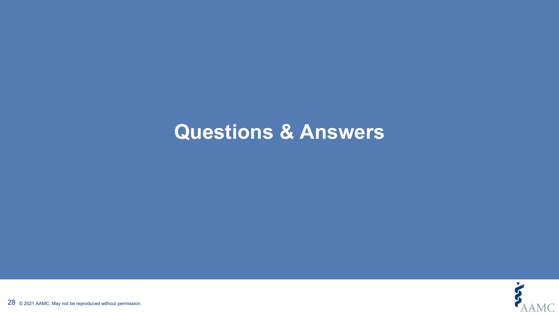#### **Questions & Answers**

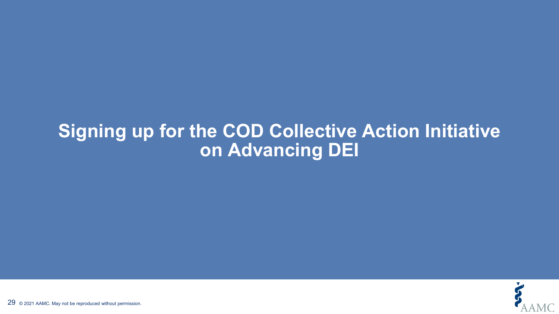#### **Signing up for the COD Collective Action Initiative on Advancing DEI**

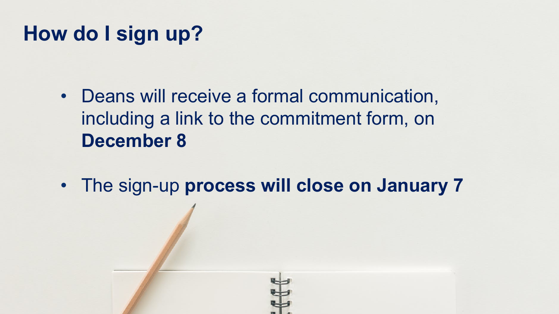## **How do I sign up?**

- Deans will receive a formal communication, including a link to the commitment form, on **December 8**
- The sign-up **process will close on January 7**